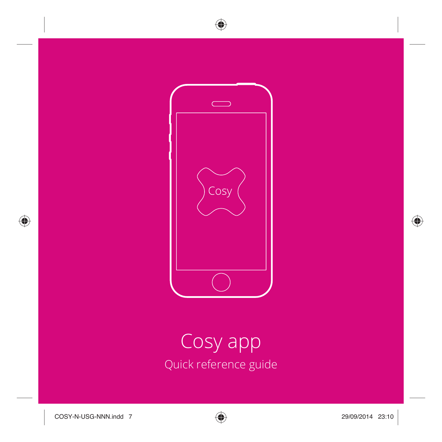